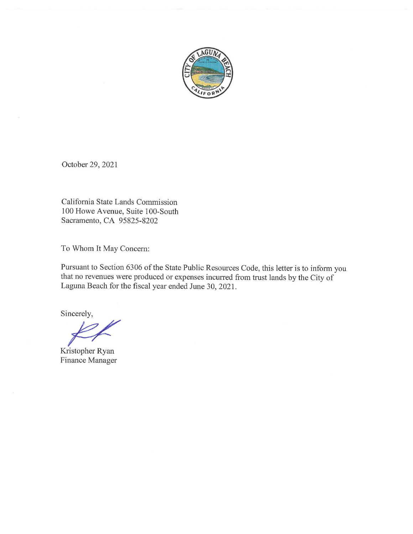

October 29, 2021

California State Lands Commission 100 Howe A venue, Suite 100-South Sacramento, CA 95825-8202

To Whom It May Concern:

Pursuant to Section 6306 of the State Public Resources Code, this letter is to inform you that no revenues were produced or expenses incurred from trust lands by the City of Laguna Beach for the fiscal year ended June 30, 2021 .

Sincerely,

Kristopher Ryan Finance Manager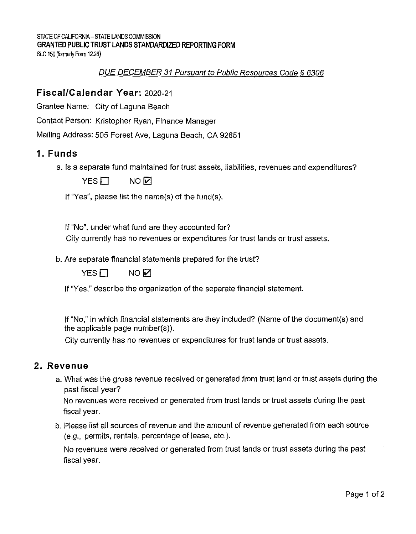## DUE DECEMBER 31 Pursuant to Public Resources Code § 6306

## **Fiscal/Calendar Year:** 2020-21

Grantee Name: City of Laguna Beach

Contact Person: Kristopher Ryan, Finance Manager

Mailing Address: 505 Forest Ave, Laguna Beach, CA 92651

### **1. Funds**

a. Is a separate fund maintained for trust assets, liabilities, revenues and expenditures?

NO<sub>M</sub>  $YES \Pi$ 

If "Yes", please list the name(s) of the fund(s).

If "No", under what fund are they accounted for?

City currently has no revenues or expenditures for trust lands or trust assets.

b. Are separate financial statements prepared for the trust?

| YES □ | NOØ |  |
|-------|-----|--|
|-------|-----|--|

If "Yes," describe the organization of the separate financial statement.

If "No," in which financial statements are they included? (Name of the document(s) and the applicable page number(s)).

City currently has no revenues or expenditures for trust lands or trust assets.

#### **2. Revenue**

a. What was the gross revenue received or generated from trust land or trust assets during the past fiscal year?

No revenues were received or generated from trust lands or trust assets during the past fiscal year.

b. Please list all sources of revenue and the amount of revenue generated from each source (e.g., permits, rentals, percentage of lease, etc.).

No revenues were received or generated from trust lands or trust assets during the past fiscal year.